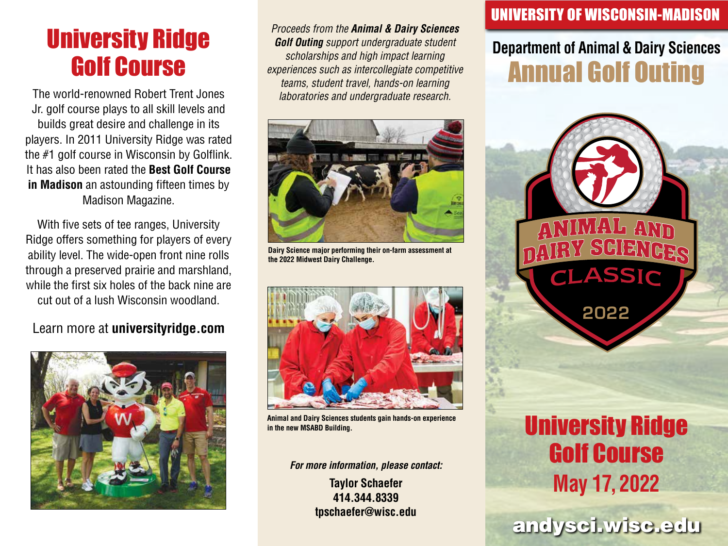# University Ridge Golf Course

The world-renowned Robert Trent Jones Jr. golf course plays to all skill levels and builds great desire and challenge in its players. In 2011 University Ridge was rated the #1 golf course in Wisconsin by Golflink. It has also been rated the **Best Golf Course in Madison** an astounding fifteen times by Madison Magazine.

With five sets of tee ranges, University Ridge offers something for players of every ability level. The wide-open front nine rolls through a preserved prairie and marshland, while the first six holes of the back nine are cut out of a lush Wisconsin woodland.

#### Learn more at **universityridge.com**



*Proceeds from the Animal & Dairy Sciences Golf Outing support undergraduate student scholarships and high impact learning experiences such as intercollegiate competitive teams, student travel, hands-on learning laboratories and undergraduate research.*



**Dairy Science major performing their on-farm assessment at the 2022 Midwest Dairy Challenge.** 



**Animal and Dairy Sciences students gain hands-on experience in the new MSABD Building.** 

*For more information, please contact:*

**Taylor Schaefer 414.344.8339 tpschaefer@wisc.edu**

### UNIVERSITY OF WISCONSIN-MADISON

## **Department of Animal & Dairy Sciences** Annual Golf Outing



2022

## andysci.wisc.edu